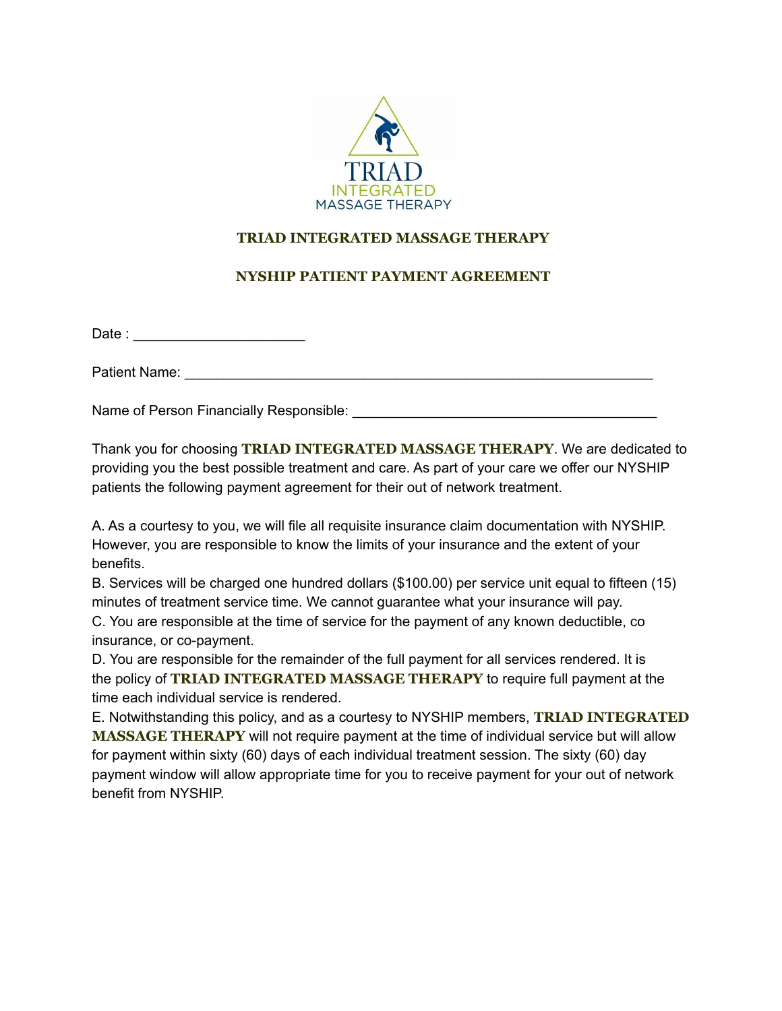

## **TRIAD INTEGRATED MASSAGE THERAPY**

## **NYSHIP PATIENT PAYMENT AGREEMENT**

Date : \_\_\_\_\_\_\_\_\_\_\_\_\_\_\_\_\_\_\_\_\_\_

Patient Name: **Example 20** and the set of the set of the set of the set of the set of the set of the set of the set of the set of the set of the set of the set of the set of the set of the set of the set of the set of the

Name of Person Financially Responsible:  $\blacksquare$ 

Thank you for choosing **TRIAD INTEGRATED MASSAGE THERAPY**. We are dedicated to providing you the best possible treatment and care. As part of your care we offer our NYSHIP patients the following payment agreement for their out of network treatment.

A. As a courtesy to you, we will file all requisite insurance claim documentation with NYSHIP. However, you are responsible to know the limits of your insurance and the extent of your benefits.

B. Services will be charged one hundred dollars (\$100.00) per service unit equal to fifteen (15) minutes of treatment service time. We cannot guarantee what your insurance will pay.

C. You are responsible at the time of service for the payment of any known deductible, co insurance, or co-payment.

D. You are responsible for the remainder of the full payment for all services rendered. It is the policy of **TRIAD INTEGRATED MASSAGE THERAPY** to require full payment at the time each individual service is rendered.

E. Notwithstanding this policy, and as a courtesy to NYSHIP members, **TRIAD INTEGRATED MASSAGE THERAPY** will not require payment at the time of individual service but will allow for payment within sixty (60) days of each individual treatment session. The sixty (60) day payment window will allow appropriate time for you to receive payment for your out of network benefit from NYSHIP.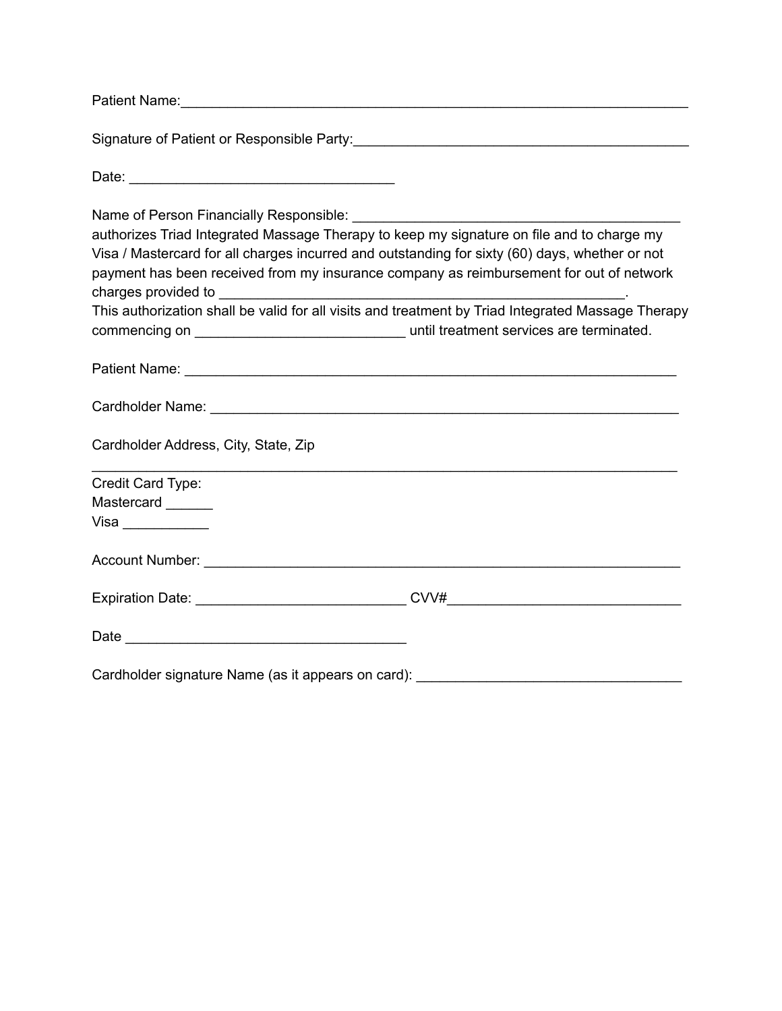| Patient Name: |  |
|---------------|--|
|               |  |

Signature of Patient or Responsible Party:\_\_\_\_\_\_\_\_\_\_\_\_\_\_\_\_\_\_\_\_\_\_\_\_\_\_\_\_\_\_\_\_\_\_\_\_\_\_\_\_\_\_\_

Date: \_\_\_\_\_\_\_\_\_\_\_\_\_\_\_\_\_\_\_\_\_\_\_\_\_\_\_\_\_\_\_\_\_\_

Name of Person Financially Responsible: \_\_\_\_\_\_\_\_\_\_\_\_\_\_\_\_\_\_\_\_\_\_\_\_\_\_\_\_\_\_\_\_\_\_\_\_\_\_\_\_\_\_

| authorizes Triad Integrated Massage Therapy to keep my signature on file and to charge my<br>Visa / Mastercard for all charges incurred and outstanding for sixty (60) days, whether or not<br>payment has been received from my insurance company as reimbursement for out of network |  |  |  |  |  |
|----------------------------------------------------------------------------------------------------------------------------------------------------------------------------------------------------------------------------------------------------------------------------------------|--|--|--|--|--|
|                                                                                                                                                                                                                                                                                        |  |  |  |  |  |
| This authorization shall be valid for all visits and treatment by Triad Integrated Massage Therapy                                                                                                                                                                                     |  |  |  |  |  |
|                                                                                                                                                                                                                                                                                        |  |  |  |  |  |
|                                                                                                                                                                                                                                                                                        |  |  |  |  |  |
|                                                                                                                                                                                                                                                                                        |  |  |  |  |  |
| Cardholder Address, City, State, Zip                                                                                                                                                                                                                                                   |  |  |  |  |  |
| Credit Card Type:                                                                                                                                                                                                                                                                      |  |  |  |  |  |
| Mastercard                                                                                                                                                                                                                                                                             |  |  |  |  |  |
| Visa                                                                                                                                                                                                                                                                                   |  |  |  |  |  |
|                                                                                                                                                                                                                                                                                        |  |  |  |  |  |

Expiration Date: \_\_\_\_\_\_\_\_\_\_\_\_\_\_\_\_\_\_\_\_\_\_\_\_\_\_\_ CVV#\_\_\_\_\_\_\_\_\_\_\_\_\_\_\_\_\_\_\_\_\_\_\_\_\_\_\_\_\_\_

|--|

Cardholder signature Name (as it appears on card): \_\_\_\_\_\_\_\_\_\_\_\_\_\_\_\_\_\_\_\_\_\_\_\_\_\_\_\_\_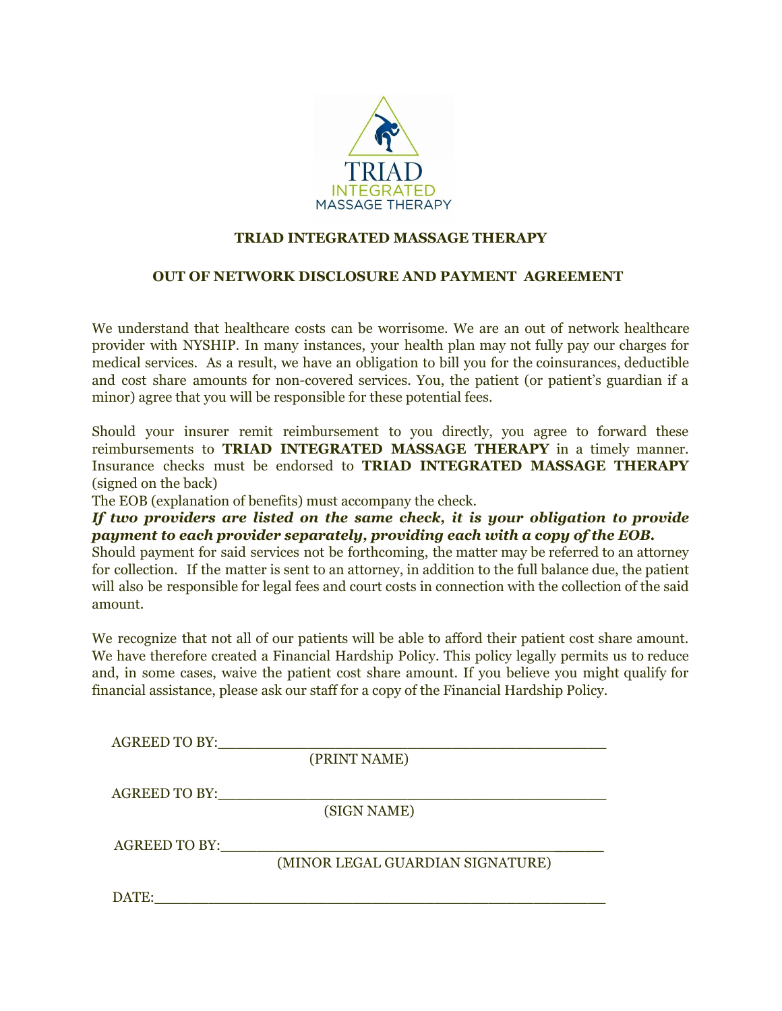

#### **TRIAD INTEGRATED MASSAGE THERAPY**

#### **OUT OF NETWORK DISCLOSURE AND PAYMENT AGREEMENT**

We understand that healthcare costs can be worrisome. We are an out of network healthcare provider with NYSHIP. In many instances, your health plan may not fully pay our charges for medical services. As a result, we have an obligation to bill you for the coinsurances, deductible and cost share amounts for non-covered services. You, the patient (or patient's guardian if a minor) agree that you will be responsible for these potential fees.

Should your insurer remit reimbursement to you directly, you agree to forward these reimbursements to **TRIAD INTEGRATED MASSAGE THERAPY** in a timely manner. Insurance checks must be endorsed to **TRIAD INTEGRATED MASSAGE THERAPY** (signed on the back)

The EOB (explanation of benefits) must accompany the check.

*If two providers are listed on the same check, it is your obligation to provide payment to each provider separately, providing each with a copy of the EOB.*

Should payment for said services not be forthcoming, the matter may be referred to an attorney for collection. If the matter is sent to an attorney, in addition to the full balance due, the patient will also be responsible for legal fees and court costs in connection with the collection of the said amount.

We recognize that not all of our patients will be able to afford their patient cost share amount. We have therefore created a Financial Hardship Policy. This policy legally permits us to reduce and, in some cases, waive the patient cost share amount. If you believe you might qualify for financial assistance, please ask our staff for a copy of the Financial Hardship Policy.

| <b>AGREED TO BY:</b> |                                  |
|----------------------|----------------------------------|
|                      | (PRINT NAME)                     |
|                      |                                  |
| <b>AGREED TO BY:</b> |                                  |
|                      | (SIGN NAME)                      |
|                      |                                  |
| <b>AGREED TO BY:</b> |                                  |
|                      | (MINOR LEGAL GUARDIAN SIGNATURE) |
|                      |                                  |
| DATE:                |                                  |
|                      |                                  |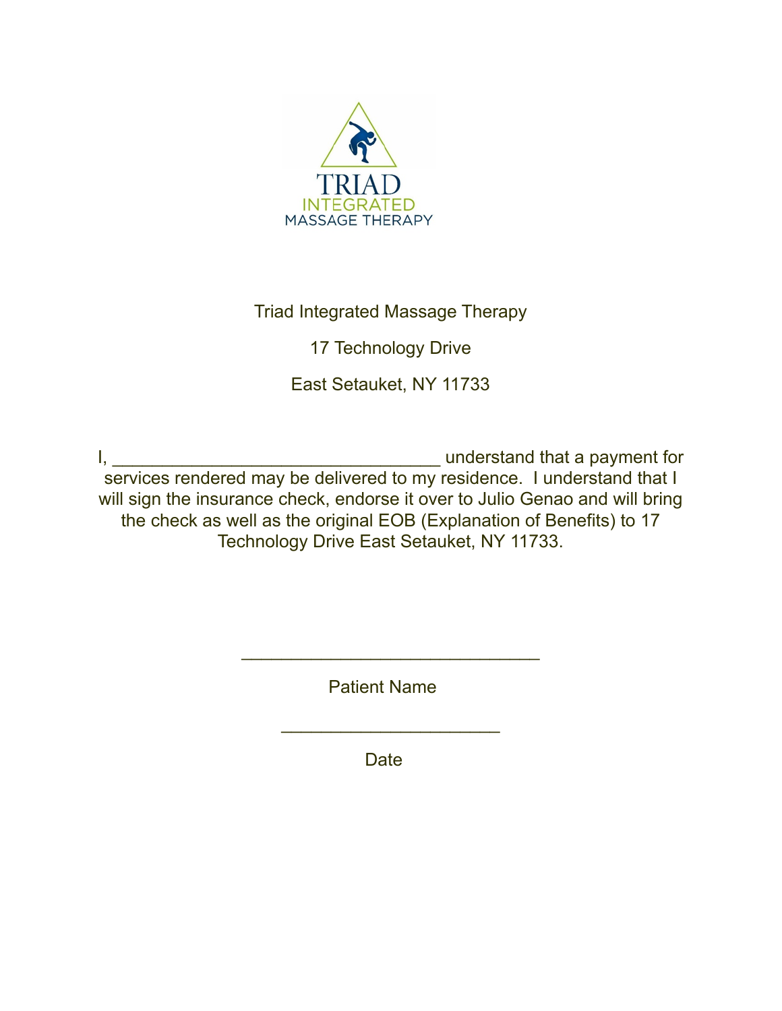

Triad Integrated Massage Therapy

17 Technology Drive

East Setauket, NY 11733

I, \_\_\_\_\_\_\_\_\_\_\_\_\_\_\_\_\_\_\_\_\_\_\_\_\_\_\_\_\_\_\_\_\_ understand that a payment for services rendered may be delivered to my residence. I understand that I will sign the insurance check, endorse it over to Julio Genao and will bring the check as well as the original EOB (Explanation of Benefits) to 17 Technology Drive East Setauket, NY 11733.

Patient Name

\_\_\_\_\_\_\_\_\_\_\_\_\_\_\_\_\_\_\_\_\_\_\_\_\_\_\_\_\_\_

\_\_\_\_\_\_\_\_\_\_\_\_\_\_\_\_\_\_\_\_\_\_

**Date**